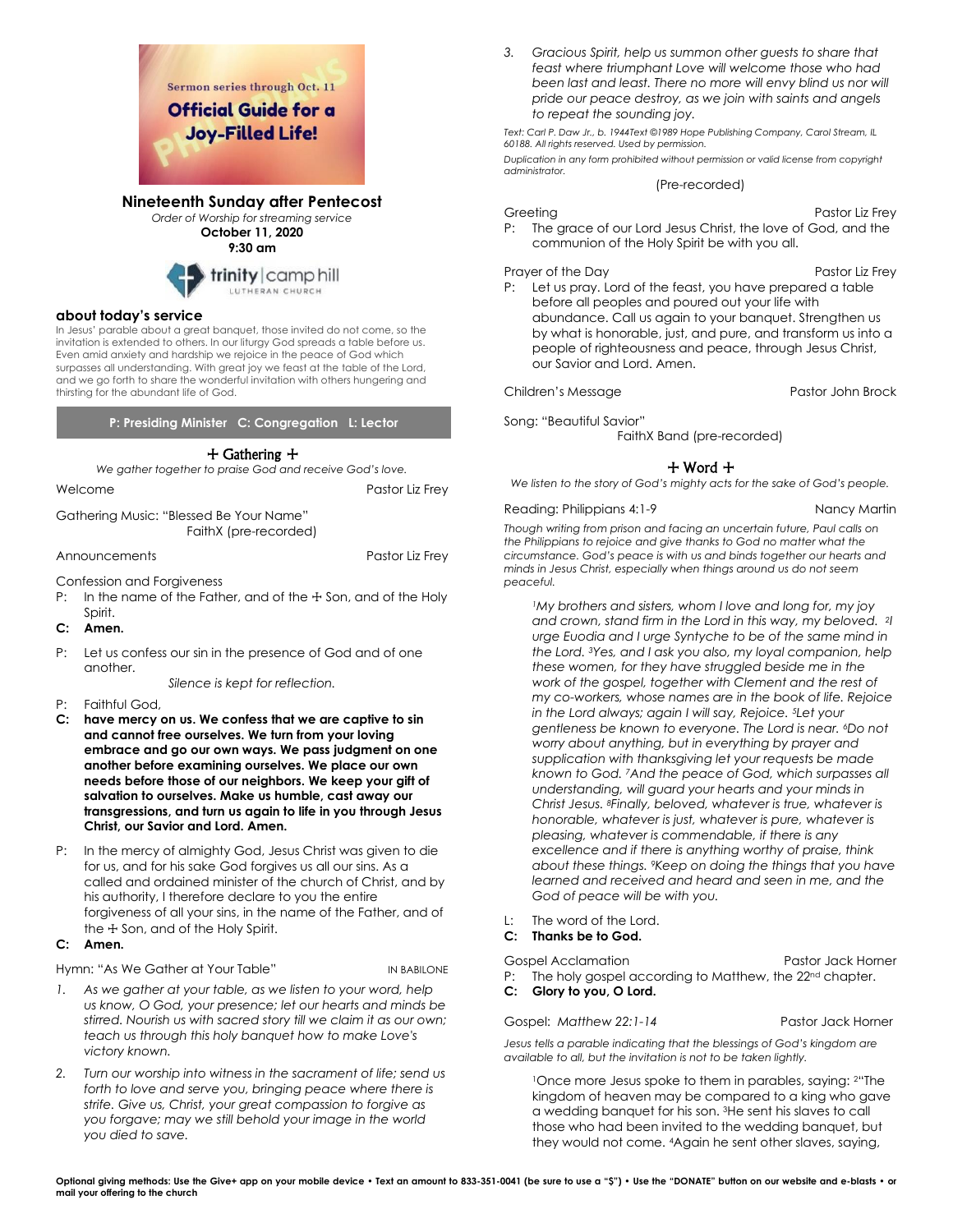

*Order of Worship for streaming service* 

**October 11, 2020 9:30 am**



## **about today's service**

In Jesus' parable about a great banquet, those invited do not come, so the invitation is extended to others. In our liturgy God spreads a table before us. Even amid anxiety and hardship we rejoice in the peace of God which surpasses all understanding. With great joy we feast at the table of the Lord, and we go forth to share the wonderful invitation with others hungering and thirsting for the abundant life of God.

**P: Presiding Minister C: Congregation L: Lector**

## + Gathering +

*We gather together to praise God and receive God's love.*

Welcome **Pastor Liz Frey** 

Gathering Music: "Blessed Be Your Name" FaithX (pre-recorded)

## Announcements Pastor Liz Frey

Confession and Forgiveness

- P: In the name of the Father, and of the  $\pm$  Son, and of the Holy Spirit.
- **C: Amen.**
- P: Let us confess our sin in the presence of God and of one another.

*Silence is kept for reflection.*

- P: Faithful God,
- **C: have mercy on us. We confess that we are captive to sin and cannot free ourselves. We turn from your loving embrace and go our own ways. We pass judgment on one another before examining ourselves. We place our own needs before those of our neighbors. We keep your gift of salvation to ourselves. Make us humble, cast away our transgressions, and turn us again to life in you through Jesus Christ, our Savior and Lord. Amen.**
- P: In the mercy of almighty God, Jesus Christ was given to die for us, and for his sake God forgives us all our sins. As a called and ordained minister of the church of Christ, and by his authority, I therefore declare to you the entire forgiveness of all your sins, in the name of the Father, and of the  $\pm$  Son, and of the Holy Spirit.

## **C: Amen.**

Hymn: "As We Gather at Your Table" IN BABILONE

- 1. As we gather at your table, as we listen to your word, help *us know, O God, your presence; let our hearts and minds be stirred. Nourish us with sacred story till we claim it as our own; teach us through this holy banquet how to make Love's victory known.*
- *2. Turn our worship into witness in the sacrament of life; send us forth to love and serve you, bringing peace where there is strife. Give us, Christ, your great compassion to forgive as you forgave; may we still behold your image in the world you died to save.*

*3. Gracious Spirit, help us summon other guests to share that feast where triumphant Love will welcome those who had been last and least. There no more will envy blind us nor will pride our peace destroy, as we join with saints and angels to repeat the sounding joy.*

*Text: Carl P. Daw Jr., b. 1944Text ©1989 Hope Publishing Company, Carol Stream, IL 60188. All rights reserved. Used by permission. Duplication in any form prohibited without permission or valid license from copyright administrator.*

(Pre-recorded)

Greeting **Pastor Liz Frey** P: The grace of our Lord Jesus Christ, the love of God, and the communion of the Holy Spirit be with you all.

Prayer of the Day **Pastor Liz Frey** 

P: Let us pray. Lord of the feast, you have prepared a table before all peoples and poured out your life with abundance. Call us again to your banquet. Strengthen us by what is honorable, just, and pure, and transform us into a people of righteousness and peace, through Jesus Christ, our Savior and Lord. Amen.

Children's Message **Pastor John Brock** 

Song: "Beautiful Savior"

FaithX Band (pre-recorded)

# + Word +

*We listen to the story of God's mighty acts for the sake of God's people.*

Reading: Philippians 4:1-9 Nancy Martin

*Though writing from prison and facing an uncertain future, Paul calls on the Philippians to rejoice and give thanks to God no matter what the circumstance. God's peace is with us and binds together our hearts and minds in Jesus Christ, especially when things around us do not seem peaceful.*

*<sup>1</sup>My brothers and sisters, whom I love and long for, my joy and crown, stand firm in the Lord in this way, my beloved. 2I urge Euodia and I urge Syntyche to be of the same mind in the Lord. <sup>3</sup>Yes, and I ask you also, my loyal companion, help these women, for they have struggled beside me in the work of the gospel, together with Clement and the rest of my co-workers, whose names are in the book of life. Rejoice in the Lord always; again I will say, Rejoice. <sup>5</sup>Let your gentleness be known to everyone. The Lord is near. <sup>6</sup>Do not worry about anything, but in everything by prayer and supplication with thanksgiving let your requests be made known to God. <sup>7</sup>And the peace of God, which surpasses all understanding, will guard your hearts and your minds in Christ Jesus. <sup>8</sup>Finally, beloved, whatever is true, whatever is honorable, whatever is just, whatever is pure, whatever is pleasing, whatever is commendable, if there is any excellence and if there is anything worthy of praise, think about these things. <sup>9</sup>Keep on doing the things that you have learned and received and heard and seen in me, and the God of peace will be with you.*

- L: The word of the Lord.
- **C: Thanks be to God.**

Gospel Acclamation **Pastor Jack Horner** P: The holy gospel according to Matthew, the 22<sup>nd</sup> chapter.

**C: Glory to you, O Lord.**

Gospel: Matthew 22:1-14 Pastor Jack Horner

Jesus tells a parable indicating that the blessings of God's kingdom are *available to all, but the invitation is not to be taken lightly.*

<sup>1</sup>Once more Jesus spoke to them in parables, saying: <sup>2</sup>"The kingdom of heaven may be compared to a king who gave a wedding banquet for his son. <sup>3</sup>He sent his slaves to call those who had been invited to the wedding banquet, but they would not come. <sup>4</sup>Again he sent other slaves, saying,